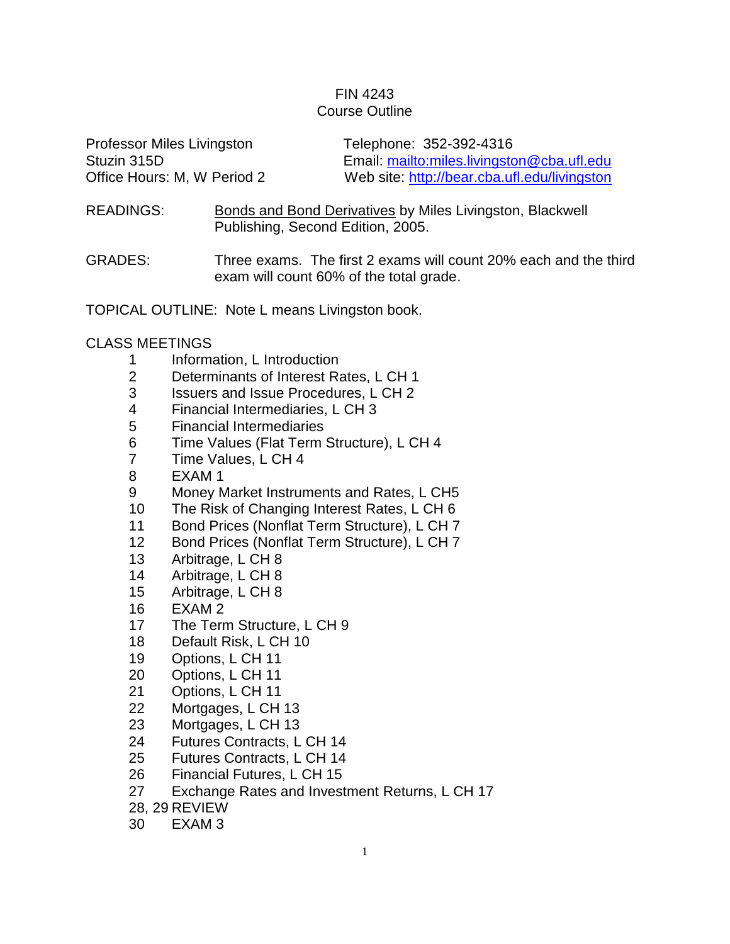## FIN 4243 Course Outline

| <b>Professor Miles Livingston</b> | Telephone: 352-392-4316                      |
|-----------------------------------|----------------------------------------------|
| Stuzin 315D                       | Email: mailto:miles.livingston@cba.ufl.edu   |
| Office Hours: M, W Period 2       | Web site: http://bear.cba.ufl.edu/livingston |

READINGS: Bonds and Bond Derivatives by Miles Livingston, Blackwell Publishing, Second Edition, 2005.

GRADES: Three exams. The first 2 exams will count 20% each and the third exam will count 60% of the total grade.

TOPICAL OUTLINE: Note L means Livingston book.

## CLASS MEETINGS

- Information, L Introduction
- Determinants of Interest Rates, L CH 1
- Issuers and Issue Procedures, L CH 2
- Financial Intermediaries, L CH 3
- Financial Intermediaries
- Time Values (Flat Term Structure), L CH 4
- Time Values, L CH 4
- EXAM 1
- Money Market Instruments and Rates, L CH5
- The Risk of Changing Interest Rates, L CH 6
- Bond Prices (Nonflat Term Structure), L CH 7
- 12 Bond Prices (Nonflat Term Structure), L CH 7
- Arbitrage, L CH 8
- Arbitrage, L CH 8
- Arbitrage, L CH 8
- EXAM 2
- 17 The Term Structure, L CH 9
- Default Risk, L CH 10
- Options, L CH 11
- Options, L CH 11
- Options, L CH 11
- Mortgages, L CH 13
- Mortgages, L CH 13
- Futures Contracts, L CH 14
- Futures Contracts, L CH 14
- Financial Futures, L CH 15
- Exchange Rates and Investment Returns, L CH 17
- 28, 29 REVIEW
- EXAM 3